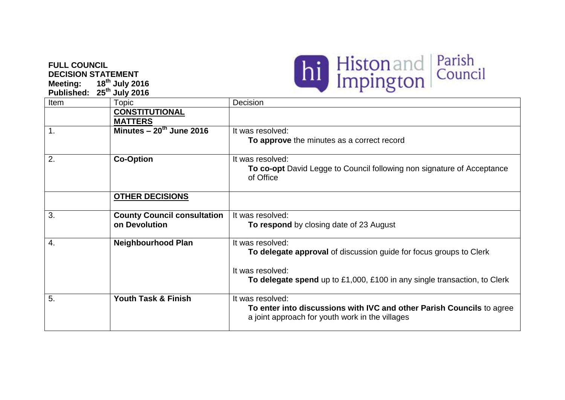## **FULL COUNCIL DECISION STATEMENT**

**Meeting: 18th July 2016 Published: 25th July 2016**



| Item             | <b>Topic</b>                       | Decision                                                                                                                 |
|------------------|------------------------------------|--------------------------------------------------------------------------------------------------------------------------|
|                  | <b>CONSTITUTIONAL</b>              |                                                                                                                          |
|                  | <b>MATTERS</b>                     |                                                                                                                          |
| $\mathbf 1$ .    | Minutes $-20^{th}$ June 2016       | It was resolved:                                                                                                         |
|                  |                                    | To approve the minutes as a correct record                                                                               |
| 2.               | <b>Co-Option</b>                   | It was resolved:                                                                                                         |
|                  |                                    | To co-opt David Legge to Council following non signature of Acceptance<br>of Office                                      |
|                  | <b>OTHER DECISIONS</b>             |                                                                                                                          |
|                  |                                    |                                                                                                                          |
| 3.               | <b>County Council consultation</b> | It was resolved:                                                                                                         |
|                  | on Devolution                      | <b>To respond</b> by closing date of 23 August                                                                           |
| $\overline{4}$ . | <b>Neighbourhood Plan</b>          | It was resolved:                                                                                                         |
|                  |                                    | To delegate approval of discussion guide for focus groups to Clerk                                                       |
|                  |                                    | It was resolved:                                                                                                         |
|                  |                                    | To delegate spend up to £1,000, £100 in any single transaction, to Clerk                                                 |
| 5.               | <b>Youth Task &amp; Finish</b>     | It was resolved:                                                                                                         |
|                  |                                    | To enter into discussions with IVC and other Parish Councils to agree<br>a joint approach for youth work in the villages |
|                  |                                    |                                                                                                                          |